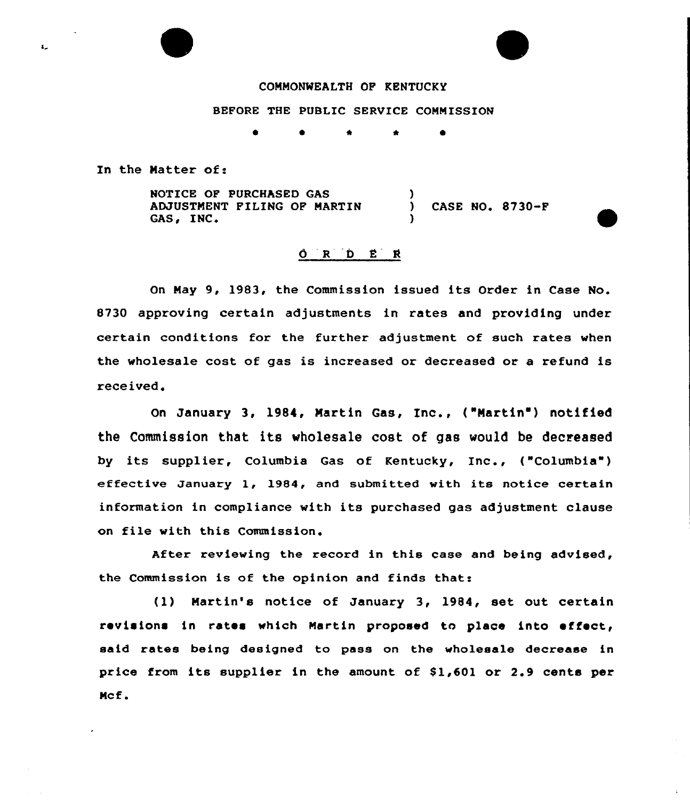

BEFORE THE PUBLIC SERVICE COMMISSION

\*

In the Matter of:

 $\mathbf{L}$ 

NOTICE OF PURCHASED GAS <sup>)</sup> ADJUSTMENT FILING OF MARTIN (CASE NO. 8730-F<br>GAS, INC. )

## $O$   $R$   $D$   $E$   $R$

On May 9, 1983, the Commission issued its Order in Case No. 8730 approving certain adjustments in rates and providing under certain conditions for the further adjustment of such rates when the wholesale cost of gas is increased or decreased or a refund is received.

On January 3, 1984, Martin Gas, Inc., ("Martin') notified the Commission that its wholesale cost of gas would be decreased by its supplier, Columbia Gas of Kentucky, Inc., ("Columbia" ) effective January 1, 1984, and submitted with its notice certain information in compliance with its purchased gas adjustment clause on file with this Commission.

After reviewing the record in this case and being advised, the Commission is of the opinion and finds that:

(1) Martin's notice of January 3, 1984, set out certain revisions in rates which Martin proposed to place into effect, said rates being designed to pass on the wholesale decrease in price from its supplier in the amount of  $$1,601$  or 2.9 cents per Mcf.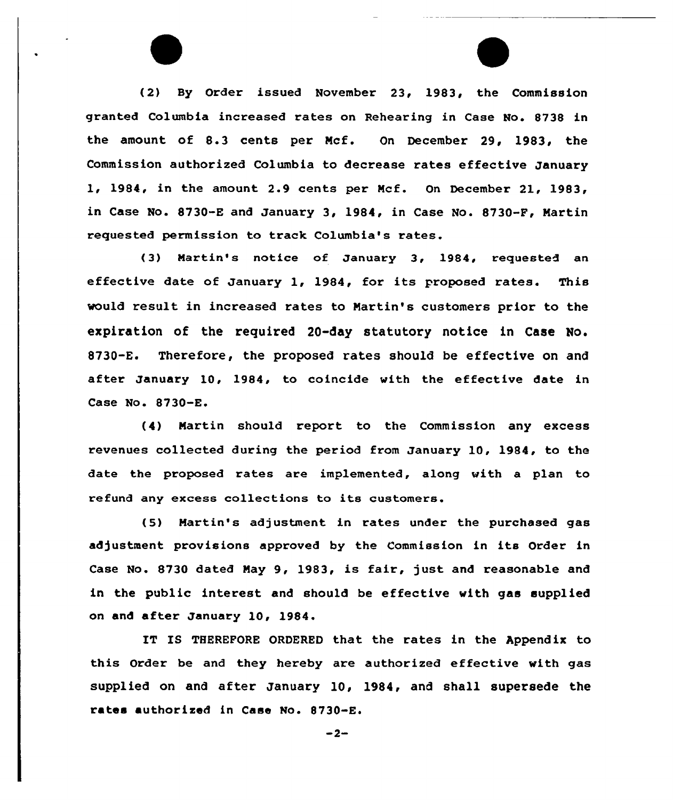(2) By Order issued November 23, 1983, the Commission granted Columbia increased rates on Rehearing in Case No. 8738 in the amount of 8.3 cents per Mcf. On December 29, 1983, the Commission authorized Columbia to decrease rates effective January 1, 1984, in the amount 2.9 cents per Mcf. On December 21, 1983, in Case No. 8730-E and January 3, 1984, in Case No. 8730-F, Martin requested permission to track Columbia's rates.

(3) Martin's notice of January 3, 1984, requested an effective date of January 1, 1984, for its proposed rates. This would result in increased rates to Martin's customers prior to the expiration of the required 20-day statutory notice in Case No. 8730-E. Therefore, the proposed rates should be effective on and after January 10, 1984, to coincide with the effective date in Case No. 8730-E.

(4) Martin should report to the Commission any excess revenues collected during the period from January 10, 1984, to the date the proposed rates are implemented, along with a plan to refund any excess collections to its customers.

(5) Martin's adjustment in rates under the purchased gas adjustment provisions approved by the Commission in its Order in Case No. 8730 dated May 9, 1983, is fair, just and reasonable and in the public interest and should be effective with gas supplied on and after January 10, 1984.

IT IS THEREFORE ORDERED that the rates in the Appendix to this Order be and they hereby are authorized effective with gas supplied on and after January 10, 1984, and shall supersede the rates authorized in Case No. 8730-E.

 $-2-$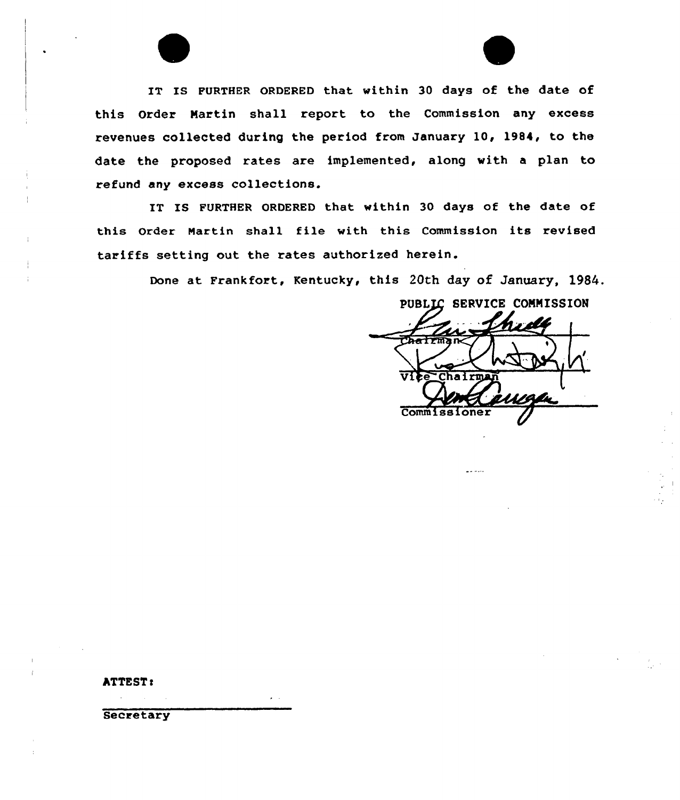IT IS FURTHER ORDERED that within 30 days of the date of this Order Martin shall report to the Commission any excess revenues collected during the period from January 10, 1984, to the date the proposed rates are implemented, along with a plan to refund any excess collections.

IT IS FURTHER ORDERED that within 30 days of the date of this Order Martin shall file with this Commission its revised tariffs setting out the rates authorized herein.

Done at Frankfort, Kentucky, this 20th day of January, 1984.

PUBLIC SERVICE COMMISSION t  $\Delta_{\mathbf{t}}$ <u> AIA</u> Commissi

ومواضيق

**ATTEST:** 

**Secretary** 

 $\mathbf{z} = \mathbf{z}$